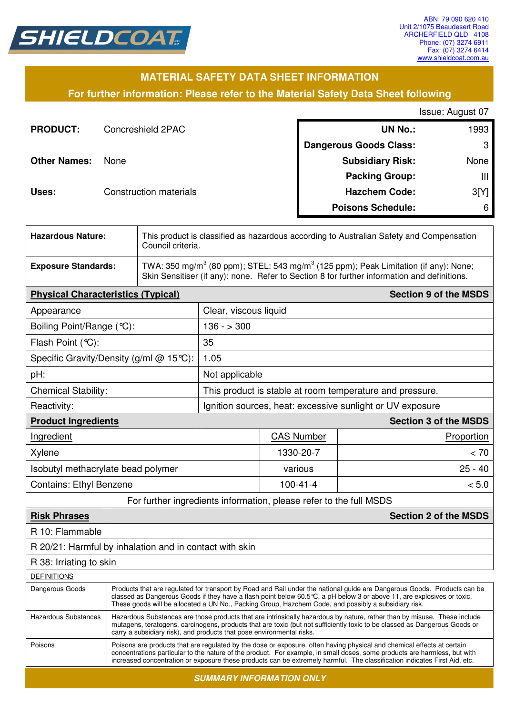

# **MATERIAL SAFETY DATA SHEET INFORMATION**

**For further information: Please refer to the Material Safety Data Sheet following**

| Issue: August 07 |  |
|------------------|--|
|------------------|--|

| <b>PRODUCT:</b>     | Concreshield 2PAC      | <b>UN No.:</b>                | 1993 |
|---------------------|------------------------|-------------------------------|------|
|                     |                        | <b>Dangerous Goods Class:</b> | 3    |
| <b>Other Names:</b> | <b>None</b>            | <b>Subsidiary Risk:</b>       | None |
|                     |                        | <b>Packing Group:</b>         | Ш    |
| Uses:               | Construction materials | <b>Hazchem Code:</b>          | 3[Y] |
|                     |                        | <b>Poisons Schedule:</b>      | 6    |

| <b>Hazardous Nature:</b>   | This product is classified as hazardous according to Australian Safety and Compensation<br>Council criteria.                                                                                               |
|----------------------------|------------------------------------------------------------------------------------------------------------------------------------------------------------------------------------------------------------|
| <b>Exposure Standards:</b> | TWA: 350 mg/m <sup>3</sup> (80 ppm); STEL: 543 mg/m <sup>3</sup> (125 ppm); Peak Limitation (if any): None;<br>Skin Sensitiser (if any): none. Refer to Section 8 for further information and definitions. |

| <b>Physical Characteristics (Typical)</b>                                                                                                                                                                                                                                                                                                                                                       |                                                           |                   | <b>Section 9 of the MSDS</b> |
|-------------------------------------------------------------------------------------------------------------------------------------------------------------------------------------------------------------------------------------------------------------------------------------------------------------------------------------------------------------------------------------------------|-----------------------------------------------------------|-------------------|------------------------------|
| Appearance                                                                                                                                                                                                                                                                                                                                                                                      | Clear, viscous liquid                                     |                   |                              |
| Boiling Point/Range (°C):                                                                                                                                                                                                                                                                                                                                                                       | $136 - 300$                                               |                   |                              |
| Flash Point (°C):                                                                                                                                                                                                                                                                                                                                                                               | 35                                                        |                   |                              |
| Specific Gravity/Density (g/ml $@$ 15 °C):                                                                                                                                                                                                                                                                                                                                                      | 1.05                                                      |                   |                              |
| pH:                                                                                                                                                                                                                                                                                                                                                                                             | Not applicable                                            |                   |                              |
| <b>Chemical Stability:</b>                                                                                                                                                                                                                                                                                                                                                                      | This product is stable at room temperature and pressure.  |                   |                              |
| Reactivity:                                                                                                                                                                                                                                                                                                                                                                                     | Ignition sources, heat: excessive sunlight or UV exposure |                   |                              |
| <b>Section 3 of the MSDS</b><br><b>Product Ingredients</b>                                                                                                                                                                                                                                                                                                                                      |                                                           |                   |                              |
| Ingredient                                                                                                                                                                                                                                                                                                                                                                                      |                                                           | <b>CAS Number</b> | Proportion                   |
| Xylene                                                                                                                                                                                                                                                                                                                                                                                          |                                                           | 1330-20-7         | < 70                         |
| Isobutyl methacrylate bead polymer                                                                                                                                                                                                                                                                                                                                                              |                                                           | various           | $25 - 40$                    |
| <b>Contains: Ethyl Benzene</b><br>$100 - 41 - 4$                                                                                                                                                                                                                                                                                                                                                |                                                           | < 5.0             |                              |
| $\blacksquare$ ( $\blacksquare$ ) ( $\blacksquare$ ) ( $\blacksquare$ ) ( $\blacksquare$ ) ( $\blacksquare$ ) ( $\blacksquare$ ) ( $\blacksquare$ ) ( $\blacksquare$ ) ( $\blacksquare$ ) ( $\blacksquare$ ) ( $\blacksquare$ ) ( $\blacksquare$ ) ( $\blacksquare$ ) ( $\blacksquare$ ) ( $\blacksquare$ ) ( $\blacksquare$ ) ( $\blacksquare$ ) ( $\blacksquare$ ) ( $\blacksquare$ ) ( $\bl$ |                                                           |                   |                              |

#### For further ingredients information, please refer to the full MSDS

# **Risk Phrases Section 2 of the MSDS**

R 10: Flammable

R 20/21: Harmful by inhalation and in contact with skin

R 38: Irriating to skin

#### **DEFINITIONS**

| טיוטוויוויום         |                                                                                                                                                                                                                                                                                                                                                                                  |
|----------------------|----------------------------------------------------------------------------------------------------------------------------------------------------------------------------------------------------------------------------------------------------------------------------------------------------------------------------------------------------------------------------------|
| Dangerous Goods      | Products that are regulated for transport by Road and Rail under the national guide are Dangerous Goods. Products can be<br>classed as Dangerous Goods if they have a flash point below 60.5 °C, a pH below 3 or above 11, are explosives or toxic.<br>These goods will be allocated a UN No., Packing Group, Hazchem Code, and possibly a subsidiary risk.                      |
| Hazardous Substances | Hazardous Substances are those products that are intrinsically hazardous by nature, rather than by misuse. These include<br>mutagens, teratogens, carcinogens, products that are toxic (but not sufficiently toxic to be classed as Dangerous Goods or<br>carry a subsidiary risk), and products that pose environmental risks.                                                  |
| Poisons              | Poisons are products that are regulated by the dose or exposure, often having physical and chemical effects at certain<br>concentrations particular to the nature of the product. For example, in small doses, some products are harmless, but with<br>increased concentration or exposure these products can be extremely harmful. The classification indicates First Aid, etc. |
|                      |                                                                                                                                                                                                                                                                                                                                                                                  |

**SUMMARY INFORMATION ONLY**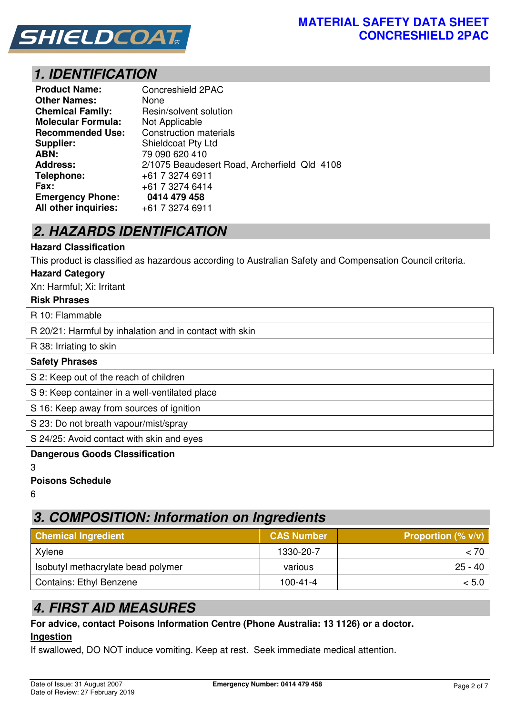

# **1. IDENTIFICATION**

| <b>Product Name:</b>      | Concreshield 2PAC                            |
|---------------------------|----------------------------------------------|
| <b>Other Names:</b>       | None                                         |
| <b>Chemical Family:</b>   | Resin/solvent solution                       |
| <b>Molecular Formula:</b> | Not Applicable                               |
| <b>Recommended Use:</b>   | <b>Construction materials</b>                |
| Supplier:                 | Shieldcoat Pty Ltd                           |
| ABN:                      | 79 090 620 410                               |
| <b>Address:</b>           | 2/1075 Beaudesert Road, Archerfield Qld 4108 |
| Telephone:                | +61 7 3274 6911                              |
| Fax:                      | +61 7 3274 6414                              |
| <b>Emergency Phone:</b>   | 0414 479 458                                 |
| All other inquiries:      | +61 7 3274 6911                              |

# **2. HAZARDS IDENTIFICATION**

## **Hazard Classification**

This product is classified as hazardous according to Australian Safety and Compensation Council criteria.

#### **Hazard Category**

Xn: Harmful; Xi: Irritant

#### **Risk Phrases**

R 10: Flammable

R 20/21: Harmful by inhalation and in contact with skin

R 38: Irriating to skin

#### **Safety Phrases**

S 2: Keep out of the reach of children

S 9: Keep container in a well-ventilated place

S 16: Keep away from sources of ignition

S 23: Do not breath vapour/mist/spray

S 24/25: Avoid contact with skin and eyes

#### **Dangerous Goods Classification**

3

**Poisons Schedule** 

6

# **3. COMPOSITION: Information on Ingredients**

| <b>Chemical Ingredient</b>         | <b>CAS Number</b> | <b>Proportion (% v/v)</b> |
|------------------------------------|-------------------|---------------------------|
| Xylene                             | 1330-20-7         | < 70∣                     |
| Isobutyl methacrylate bead polymer | various           | $25 - 40$                 |
| <b>Contains: Ethyl Benzene</b>     | $100 - 41 - 4$    | < 5.0                     |

# **4. FIRST AID MEASURES**

#### **For advice, contact Poisons Information Centre (Phone Australia: 13 1126) or a doctor. Ingestion**

If swallowed, DO NOT induce vomiting. Keep at rest. Seek immediate medical attention.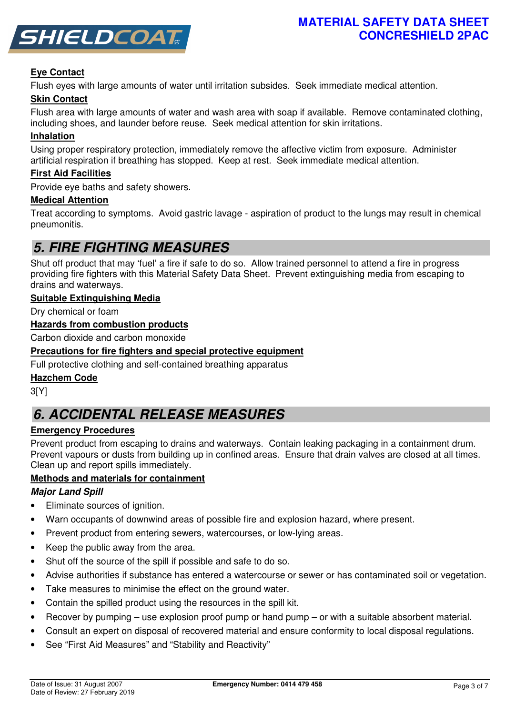

# **Eye Contact**

Flush eyes with large amounts of water until irritation subsides. Seek immediate medical attention.

# **Skin Contact**

Flush area with large amounts of water and wash area with soap if available. Remove contaminated clothing, including shoes, and launder before reuse. Seek medical attention for skin irritations.

# **Inhalation**

Using proper respiratory protection, immediately remove the affective victim from exposure. Administer artificial respiration if breathing has stopped. Keep at rest. Seek immediate medical attention.

## **First Aid Facilities**

Provide eye baths and safety showers.

#### **Medical Attention**

Treat according to symptoms. Avoid gastric lavage - aspiration of product to the lungs may result in chemical pneumonitis.

# **5. FIRE FIGHTING MEASURES**

Shut off product that may 'fuel' a fire if safe to do so. Allow trained personnel to attend a fire in progress providing fire fighters with this Material Safety Data Sheet. Prevent extinguishing media from escaping to drains and waterways.

## **Suitable Extinguishing Media**

Dry chemical or foam

# **Hazards from combustion products**

Carbon dioxide and carbon monoxide

## **Precautions for fire fighters and special protective equipment**

Full protective clothing and self-contained breathing apparatus

#### **Hazchem Code**

3[Y]

# **6. ACCIDENTAL RELEASE MEASURES**

# **Emergency Procedures**

Prevent product from escaping to drains and waterways. Contain leaking packaging in a containment drum. Prevent vapours or dusts from building up in confined areas. Ensure that drain valves are closed at all times. Clean up and report spills immediately.

# **Methods and materials for containment**

# **Major Land Spill**

- Eliminate sources of ignition.
- Warn occupants of downwind areas of possible fire and explosion hazard, where present.
- Prevent product from entering sewers, watercourses, or low-lying areas.
- Keep the public away from the area.
- Shut off the source of the spill if possible and safe to do so.
- Advise authorities if substance has entered a watercourse or sewer or has contaminated soil or vegetation.
- Take measures to minimise the effect on the ground water.
- Contain the spilled product using the resources in the spill kit.
- Recover by pumping use explosion proof pump or hand pump or with a suitable absorbent material.
- Consult an expert on disposal of recovered material and ensure conformity to local disposal regulations.
- See "First Aid Measures" and "Stability and Reactivity"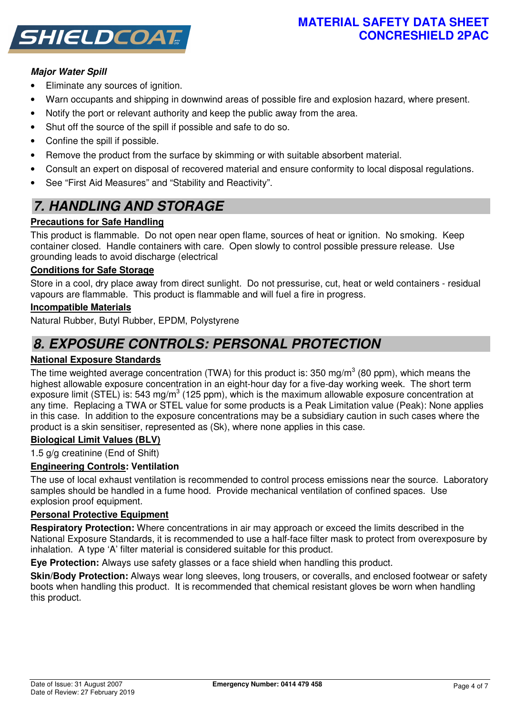# **MATERIAL SAFETY DATA SHEET CONCRESHIELD 2PAC**



# **Major Water Spill**

- Eliminate any sources of ignition.
- Warn occupants and shipping in downwind areas of possible fire and explosion hazard, where present.
- Notify the port or relevant authority and keep the public away from the area.
- Shut off the source of the spill if possible and safe to do so.
- Confine the spill if possible.
- Remove the product from the surface by skimming or with suitable absorbent material.
- Consult an expert on disposal of recovered material and ensure conformity to local disposal regulations.
- See "First Aid Measures" and "Stability and Reactivity".

# **7. HANDLING AND STORAGE**

# **Precautions for Safe Handling**

This product is flammable. Do not open near open flame, sources of heat or ignition. No smoking. Keep container closed. Handle containers with care. Open slowly to control possible pressure release. Use grounding leads to avoid discharge (electrical

# **Conditions for Safe Storage**

Store in a cool, dry place away from direct sunlight. Do not pressurise, cut, heat or weld containers - residual vapours are flammable. This product is flammable and will fuel a fire in progress.

## **Incompatible Materials**

Natural Rubber, Butyl Rubber, EPDM, Polystyrene

# **8. EXPOSURE CONTROLS: PERSONAL PROTECTION**

# **National Exposure Standards**

The time weighted average concentration (TWA) for this product is: 350 mg/m<sup>3</sup> (80 ppm), which means the highest allowable exposure concentration in an eight-hour day for a five-day working week. The short term exposure limit (STEL) is: 543 mg/m<sup>3</sup> (125 ppm), which is the maximum allowable exposure concentration at any time. Replacing a TWA or STEL value for some products is a Peak Limitation value (Peak): None applies in this case. In addition to the exposure concentrations may be a subsidiary caution in such cases where the product is a skin sensitiser, represented as (Sk), where none applies in this case.

# **Biological Limit Values (BLV)**

1.5 g/g creatinine (End of Shift)

# **Engineering Controls: Ventilation**

The use of local exhaust ventilation is recommended to control process emissions near the source. Laboratory samples should be handled in a fume hood. Provide mechanical ventilation of confined spaces. Use explosion proof equipment.

#### **Personal Protective Equipment**

**Respiratory Protection:** Where concentrations in air may approach or exceed the limits described in the National Exposure Standards, it is recommended to use a half-face filter mask to protect from overexposure by inhalation. A type 'A' filter material is considered suitable for this product.

**Eye Protection:** Always use safety glasses or a face shield when handling this product.

**Skin/Body Protection:** Always wear long sleeves, long trousers, or coveralls, and enclosed footwear or safety boots when handling this product. It is recommended that chemical resistant gloves be worn when handling this product.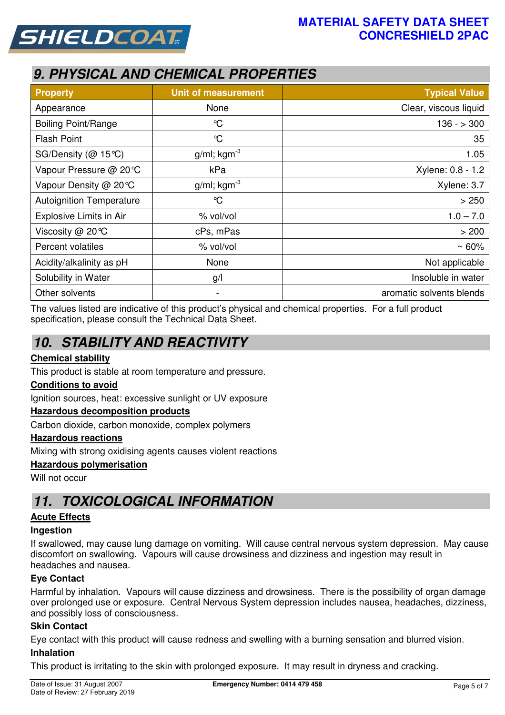

# **9. PHYSICAL AND CHEMICAL PROPERTIES**

| <b>Property</b>                 | <b>Unit of measurement</b> | <b>Typical Value</b>     |
|---------------------------------|----------------------------|--------------------------|
| Appearance                      | None                       | Clear, viscous liquid    |
| <b>Boiling Point/Range</b>      | $\mathrm{C}$               | $136 - 300$              |
| <b>Flash Point</b>              | $\mathrm{C}$               | 35                       |
| SG/Density (@ 15℃)              | $g/ml$ ; kgm <sup>-3</sup> | 1.05                     |
| Vapour Pressure @ 20℃           | kPa                        | Xylene: 0.8 - 1.2        |
| Vapour Density @ 20℃            | $g/ml$ ; kgm <sup>-3</sup> | Xylene: 3.7              |
| <b>Autoignition Temperature</b> | $\mathrm{C}$               | > 250                    |
| Explosive Limits in Air         | % vol/vol                  | $1.0 - 7.0$              |
| Viscosity @ 20°C                | cPs, mPas                  | > 200                    |
| Percent volatiles               | % vol/vol                  | $~50\%$                  |
| Acidity/alkalinity as pH        | None                       | Not applicable           |
| Solubility in Water             | g/l                        | Insoluble in water       |
| Other solvents                  | -                          | aromatic solvents blends |

The values listed are indicative of this product's physical and chemical properties. For a full product specification, please consult the Technical Data Sheet.

# **10. STABILITY AND REACTIVITY**

# **Chemical stability**

This product is stable at room temperature and pressure.

# **Conditions to avoid**

Ignition sources, heat: excessive sunlight or UV exposure

# **Hazardous decomposition products**

Carbon dioxide, carbon monoxide, complex polymers

#### **Hazardous reactions**

Mixing with strong oxidising agents causes violent reactions

#### **Hazardous polymerisation**

Will not occur

# **11. TOXICOLOGICAL INFORMATION**

# **Acute Effects**

#### **Ingestion**

If swallowed, may cause lung damage on vomiting. Will cause central nervous system depression. May cause discomfort on swallowing. Vapours will cause drowsiness and dizziness and ingestion may result in headaches and nausea.

# **Eye Contact**

Harmful by inhalation. Vapours will cause dizziness and drowsiness. There is the possibility of organ damage over prolonged use or exposure. Central Nervous System depression includes nausea, headaches, dizziness, and possibly loss of consciousness.

#### **Skin Contact**

Eye contact with this product will cause redness and swelling with a burning sensation and blurred vision.

#### **Inhalation**

This product is irritating to the skin with prolonged exposure. It may result in dryness and cracking.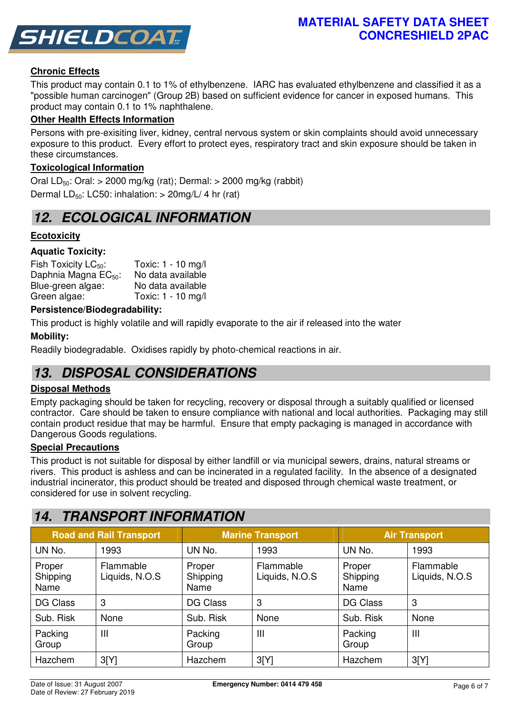

# **Chronic Effects**

This product may contain 0.1 to 1% of ethylbenzene. IARC has evaluated ethylbenzene and classified it as a "possible human carcinogen" (Group 2B) based on sufficient evidence for cancer in exposed humans. This product may contain 0.1 to 1% naphthalene.

## **Other Health Effects Information**

Persons with pre-exisiting liver, kidney, central nervous system or skin complaints should avoid unnecessary exposure to this product. Every effort to protect eyes, respiratory tract and skin exposure should be taken in these circumstances.

## **Toxicological Information**

Oral LD<sub>50</sub>: Oral:  $> 2000$  mg/kg (rat); Dermal:  $> 2000$  mg/kg (rabbit) Dermal  $LD_{50}$ : LC50: inhalation:  $>$  20mg/L/ 4 hr (rat)

# **12. ECOLOGICAL INFORMATION**

# **Ecotoxicity**

## **Aquatic Toxicity:**

| Toxic: 1 - 10 mg/l |
|--------------------|
| No data available  |
| No data available  |
| Toxic: 1 - 10 mg/l |
|                    |

#### **Persistence/Biodegradability:**

This product is highly volatile and will rapidly evaporate to the air if released into the water

## **Mobility:**

Readily biodegradable. Oxidises rapidly by photo-chemical reactions in air.

# **13. DISPOSAL CONSIDERATIONS**

#### **Disposal Methods**

Empty packaging should be taken for recycling, recovery or disposal through a suitably qualified or licensed contractor. Care should be taken to ensure compliance with national and local authorities. Packaging may still contain product residue that may be harmful. Ensure that empty packaging is managed in accordance with Dangerous Goods regulations.

#### **Special Precautions**

This product is not suitable for disposal by either landfill or via municipal sewers, drains, natural streams or rivers. This product is ashless and can be incinerated in a regulated facility. In the absence of a designated industrial incinerator, this product should be treated and disposed through chemical waste treatment, or considered for use in solvent recycling.

# **14. TRANSPORT INFORMATION**

|                            | <b>Road and Rail Transport</b><br><b>Marine Transport</b> |                            | <b>Air Transport</b>        |                            |                             |
|----------------------------|-----------------------------------------------------------|----------------------------|-----------------------------|----------------------------|-----------------------------|
| UN No.                     | 1993                                                      | UN No.                     | 1993                        | UN No.                     | 1993                        |
| Proper<br>Shipping<br>Name | Flammable<br>Liquids, N.O.S                               | Proper<br>Shipping<br>Name | Flammable<br>Liquids, N.O.S | Proper<br>Shipping<br>Name | Flammable<br>Liquids, N.O.S |
| <b>DG Class</b>            | 3                                                         | <b>DG Class</b>            | 3                           | DG Class                   | 3                           |
| Sub. Risk                  | None                                                      | Sub. Risk                  | None                        | Sub. Risk                  | None                        |
| Packing<br>Group           | Ш                                                         | Packing<br>Group           | Ш                           | Packing<br>Group           | Ш                           |
| Hazchem                    | 3[Y]                                                      | Hazchem                    | 3[Y]                        | Hazchem                    | 3[Y]                        |